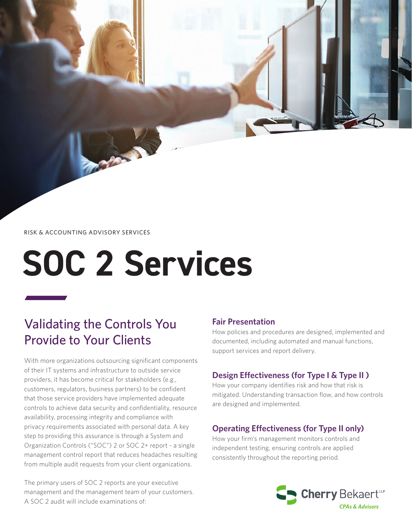RISK & ACCOUNTING ADVISORY SERVICES

**COMPANY** 

# **SOC 2 Services**

## Validating the Controls You Provide to Your Clients

With more organizations outsourcing significant components of their IT systems and infrastructure to outside service providers, it has become critical for stakeholders (e.g., customers, regulators, business partners) to be confident that those service providers have implemented adequate controls to achieve data security and confidentiality, resource availability, processing integrity and compliance with privacy requirements associated with personal data. A key step to providing this assurance is through a System and Organization Controls ("SOC") 2 or SOC 2+ report - a single management control report that reduces headaches resulting from multiple audit requests from your client organizations.

The primary users of SOC 2 reports are your executive management and the management team of your customers. A SOC 2 audit will include examinations of:

#### **Fair Presentation**

How policies and procedures are designed, implemented and documented, including automated and manual functions, support services and report delivery.

## **Design Effectiveness (for Type I & Type II )**

How your company identifies risk and how that risk is mitigated. Understanding transaction flow, and how controls are designed and implemented.

## **Operating Effectiveness (for Type II only)**

How your firm's management monitors controls and independent testing, ensuring controls are applied consistently throughout the reporting period.